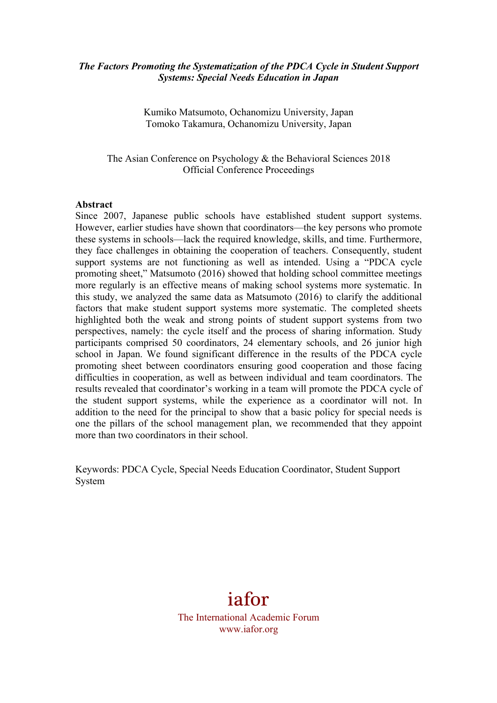#### *The Factors Promoting the Systematization of the PDCA Cycle in Student Support Systems: Special Needs Education in Japan*

Kumiko Matsumoto, Ochanomizu University, Japan Tomoko Takamura, Ochanomizu University, Japan

The Asian Conference on Psychology & the Behavioral Sciences 2018 Official Conference Proceedings

#### **Abstract**

Since 2007, Japanese public schools have established student support systems. However, earlier studies have shown that coordinators—the key persons who promote these systems in schools—lack the required knowledge, skills, and time. Furthermore, they face challenges in obtaining the cooperation of teachers. Consequently, student support systems are not functioning as well as intended. Using a "PDCA cycle promoting sheet," Matsumoto (2016) showed that holding school committee meetings more regularly is an effective means of making school systems more systematic. In this study, we analyzed the same data as Matsumoto (2016) to clarify the additional factors that make student support systems more systematic. The completed sheets highlighted both the weak and strong points of student support systems from two perspectives, namely: the cycle itself and the process of sharing information. Study participants comprised 50 coordinators, 24 elementary schools, and 26 junior high school in Japan. We found significant difference in the results of the PDCA cycle promoting sheet between coordinators ensuring good cooperation and those facing difficulties in cooperation, as well as between individual and team coordinators. The results revealed that coordinator's working in a team will promote the PDCA cycle of the student support systems, while the experience as a coordinator will not. In addition to the need for the principal to show that a basic policy for special needs is one the pillars of the school management plan, we recommended that they appoint more than two coordinators in their school.

Keywords: PDCA Cycle, Special Needs Education Coordinator, Student Support System

# iafor

The International Academic Forum www.iafor.org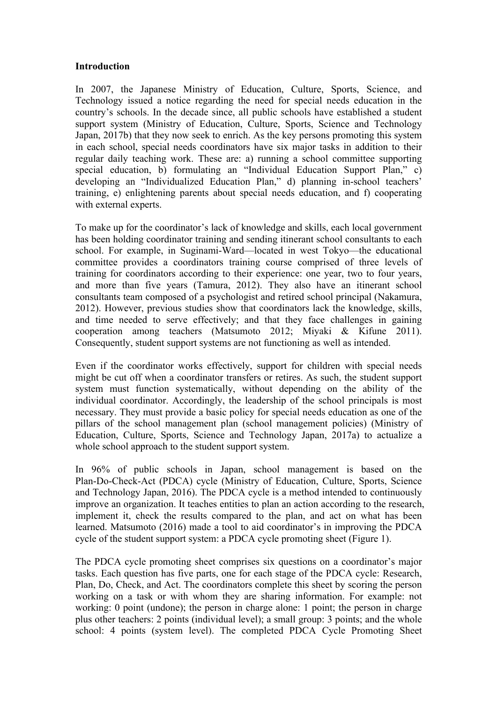#### **Introduction**

In 2007, the Japanese Ministry of Education, Culture, Sports, Science, and Technology issued a notice regarding the need for special needs education in the country's schools. In the decade since, all public schools have established a student support system (Ministry of Education, Culture, Sports, Science and Technology Japan, 2017b) that they now seek to enrich. As the key persons promoting this system in each school, special needs coordinators have six major tasks in addition to their regular daily teaching work. These are: a) running a school committee supporting special education, b) formulating an "Individual Education Support Plan," c) developing an "Individualized Education Plan," d) planning in-school teachers' training, e) enlightening parents about special needs education, and f) cooperating with external experts.

To make up for the coordinator's lack of knowledge and skills, each local government has been holding coordinator training and sending itinerant school consultants to each school. For example, in Suginami-Ward—located in west Tokyo—the educational committee provides a coordinators training course comprised of three levels of training for coordinators according to their experience: one year, two to four years, and more than five years (Tamura, 2012). They also have an itinerant school consultants team composed of a psychologist and retired school principal (Nakamura, 2012). However, previous studies show that coordinators lack the knowledge, skills, and time needed to serve effectively; and that they face challenges in gaining cooperation among teachers (Matsumoto 2012; Miyaki & Kifune 2011). Consequently, student support systems are not functioning as well as intended.

Even if the coordinator works effectively, support for children with special needs might be cut off when a coordinator transfers or retires. As such, the student support system must function systematically, without depending on the ability of the individual coordinator. Accordingly, the leadership of the school principals is most necessary. They must provide a basic policy for special needs education as one of the pillars of the school management plan (school management policies) (Ministry of Education, Culture, Sports, Science and Technology Japan, 2017a) to actualize a whole school approach to the student support system.

In 96% of public schools in Japan, school management is based on the Plan-Do-Check-Act (PDCA) cycle (Ministry of Education, Culture, Sports, Science and Technology Japan, 2016). The PDCA cycle is a method intended to continuously improve an organization. It teaches entities to plan an action according to the research, implement it, check the results compared to the plan, and act on what has been learned. Matsumoto (2016) made a tool to aid coordinator's in improving the PDCA cycle of the student support system: a PDCA cycle promoting sheet (Figure 1).

The PDCA cycle promoting sheet comprises six questions on a coordinator's major tasks. Each question has five parts, one for each stage of the PDCA cycle: Research, Plan, Do, Check, and Act. The coordinators complete this sheet by scoring the person working on a task or with whom they are sharing information. For example: not working: 0 point (undone); the person in charge alone: 1 point; the person in charge plus other teachers: 2 points (individual level); a small group: 3 points; and the whole school: 4 points (system level). The completed PDCA Cycle Promoting Sheet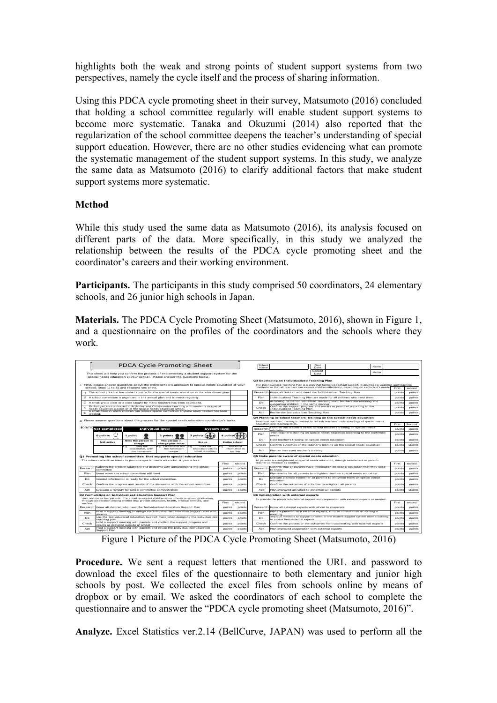highlights both the weak and strong points of student support systems from two perspectives, namely the cycle itself and the process of sharing information.

Using this PDCA cycle promoting sheet in their survey, Matsumoto (2016) concluded that holding a school committee regularly will enable student support systems to become more systematic. Tanaka and Okuzumi (2014) also reported that the regularization of the school committee deepens the teacher's understanding of special support education. However, there are no other studies evidencing what can promote the systematic management of the student support systems. In this study, we analyze the same data as Matsumoto (2016) to clarify additional factors that make student support systems more systematic.

### **Method**

While this study used the same data as Matsumoto (2016), its analysis focused on different parts of the data. More specifically, in this study we analyzed the relationship between the results of the PDCA cycle promoting sheet and the coordinator's careers and their working environment.

**Participants.** The participants in this study comprised 50 coordinators, 24 elementary schools, and 26 junior high schools in Japan.

**Materials.** The PDCA Cycle Promoting Sheet (Matsumoto, 2016), shown in Figure 1, and a questionnaire on the profiles of the coordinators and the schools where they work.



Figure 1 Picture of the PDCA Cycle Promoting Sheet (Matsumoto, 2016)

**Procedure.** We sent a request letters that mentioned the URL and password to download the excel files of the questionnaire to both elementary and junior high schools by post. We collected the excel files from schools online by means of dropbox or by email. We asked the coordinators of each school to complete the questionnaire and to answer the "PDCA cycle promoting sheet (Matsumoto, 2016)".

**Analyze.** Excel Statistics ver.2.14 (BellCurve, JAPAN) was used to perform all the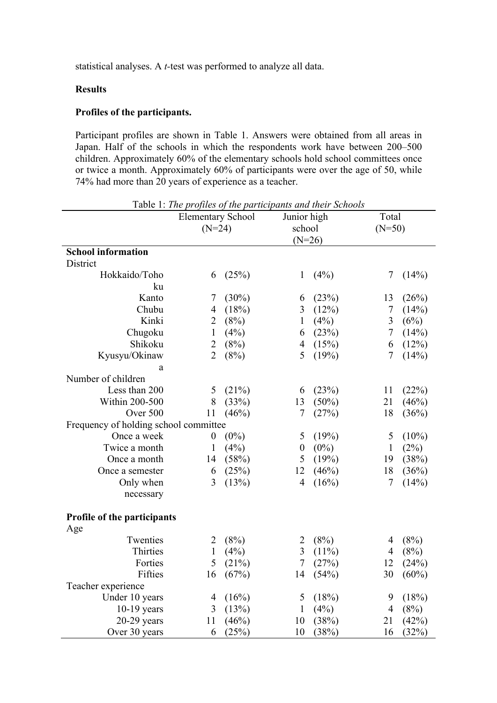statistical analyses. A *t-*test was performed to analyze all data.

# **Results**

#### **Profiles of the participants.**

Participant profiles are shown in Table 1. Answers were obtained from all areas in Japan. Half of the schools in which the respondents work have between 200–500 children. Approximately 60% of the elementary schools hold school committees once or twice a month. Approximately 60% of participants were over the age of 50, while 74% had more than 20 years of experience as a teacher.

|                                       | racio 1. The projues of the participants and their senoons<br><b>Elementary School</b> |          |                         | Junior high |                  | Total    |  |  |  |  |
|---------------------------------------|----------------------------------------------------------------------------------------|----------|-------------------------|-------------|------------------|----------|--|--|--|--|
|                                       | $(N=24)$                                                                               |          |                         | school      |                  | $(N=50)$ |  |  |  |  |
|                                       |                                                                                        |          | $(N=26)$                |             |                  |          |  |  |  |  |
| <b>School information</b>             |                                                                                        |          |                         |             |                  |          |  |  |  |  |
| District                              |                                                                                        |          |                         |             |                  |          |  |  |  |  |
| Hokkaido/Toho                         | 6                                                                                      | (25%)    | $\mathbf{1}$            | (4%)        | 7                | (14%)    |  |  |  |  |
| ku                                    |                                                                                        |          |                         |             |                  |          |  |  |  |  |
| Kanto                                 | 7                                                                                      | $(30\%)$ | 6                       | (23%)       | 13               | (26%)    |  |  |  |  |
| Chubu                                 | $\overline{4}$                                                                         | (18%)    | $\overline{\mathbf{3}}$ | (12%)       | $\boldsymbol{7}$ | (14%)    |  |  |  |  |
| Kinki                                 | $\overline{2}$                                                                         | (8%)     | $\mathbf{1}$            | (4%)        | $\overline{3}$   | (6%)     |  |  |  |  |
| Chugoku                               | $\mathbf{1}$                                                                           | (4%)     | 6                       | (23%)       | $\boldsymbol{7}$ | (14%)    |  |  |  |  |
| Shikoku                               | $\overline{c}$                                                                         | (8%)     | $\overline{4}$          | (15%)       | 6                | (12%)    |  |  |  |  |
| Kyusyu/Okinaw                         | $\overline{2}$                                                                         | (8%)     | 5                       | (19%)       | 7                | (14%)    |  |  |  |  |
| a                                     |                                                                                        |          |                         |             |                  |          |  |  |  |  |
| Number of children                    |                                                                                        |          |                         |             |                  |          |  |  |  |  |
| Less than 200                         | 5                                                                                      | (21%)    | 6                       | (23%)       | 11               | (22%)    |  |  |  |  |
| Within 200-500                        | 8                                                                                      | (33%)    | 13                      | (50%)       | 21               | (46%)    |  |  |  |  |
| Over 500                              | 11                                                                                     | (46%)    | $\overline{7}$          | (27%)       | 18               | (36%)    |  |  |  |  |
| Frequency of holding school committee |                                                                                        |          |                         |             |                  |          |  |  |  |  |
| Once a week                           | $\boldsymbol{0}$                                                                       | $(0\%)$  | 5                       | (19%)       | 5                | $(10\%)$ |  |  |  |  |
| Twice a month                         | $\mathbf{1}$                                                                           | (4%)     | $\boldsymbol{0}$        | $(0\%)$     | $\mathbf{1}$     | (2%)     |  |  |  |  |
| Once a month                          | 14                                                                                     | (58%)    | 5                       | (19%)       | 19               | (38%)    |  |  |  |  |
| Once a semester                       | 6                                                                                      | (25%)    | 12                      | (46%)       | 18               | (36%)    |  |  |  |  |
| Only when                             | 3                                                                                      | (13%)    | $\overline{4}$          | (16%)       | 7                | (14%)    |  |  |  |  |
| necessary                             |                                                                                        |          |                         |             |                  |          |  |  |  |  |
|                                       |                                                                                        |          |                         |             |                  |          |  |  |  |  |
| Profile of the participants           |                                                                                        |          |                         |             |                  |          |  |  |  |  |
| Age                                   |                                                                                        |          |                         |             |                  |          |  |  |  |  |
| Twenties                              | $\overline{2}$                                                                         | (8%)     | 2                       | (8%)        | 4                | (8%)     |  |  |  |  |
| Thirties                              | $\mathbf{1}$                                                                           | (4%)     | $\overline{3}$          | $(11\%)$    | 4                | (8%)     |  |  |  |  |
| Forties                               | 5                                                                                      | (21%)    | $\overline{7}$          | (27%)       | 12               | (24%)    |  |  |  |  |
| Fifties                               | 16                                                                                     | (67%)    | 14                      | (54%)       | 30               | $(60\%)$ |  |  |  |  |
| Teacher experience                    |                                                                                        |          |                         |             |                  |          |  |  |  |  |
| Under 10 years                        | 4                                                                                      | (16%)    | 5                       | (18%)       | 9                | (18%)    |  |  |  |  |
| $10-19$ years                         | 3                                                                                      | (13%)    | $\mathbf{1}$            | (4%)        | 4                | (8%)     |  |  |  |  |
| $20-29$ years                         | 11                                                                                     | (46%)    | 10                      | (38%)       | 21               | (42%)    |  |  |  |  |
| Over 30 years                         | 6                                                                                      | (25%)    | 10                      | (38%)       | 16               | (32%)    |  |  |  |  |

Table 1: *The profiles of the participants and their Schools*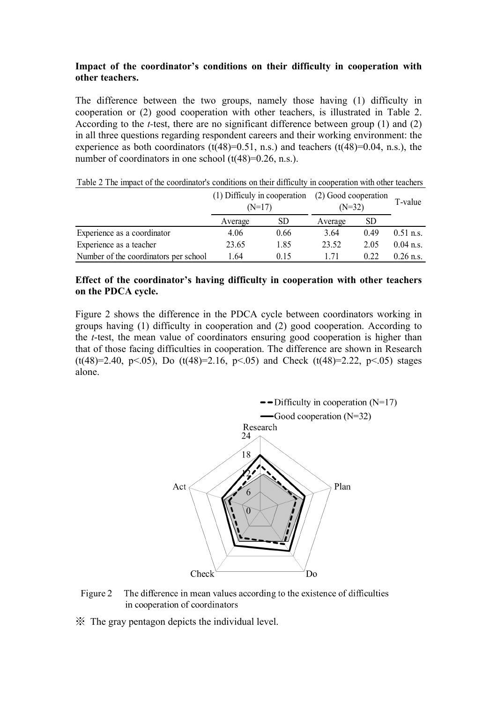### **Impact of the coordinator's conditions on their difficulty in cooperation with other teachers.**

The difference between the two groups, namely those having (1) difficulty in cooperation or (2) good cooperation with other teachers, is illustrated in Table 2. According to the *t-*test, there are no significant difference between group (1) and (2) in all three questions regarding respondent careers and their working environment: the experience as both coordinators  $(t(48)=0.51, n.s.)$  and teachers  $(t(48)=0.04, n.s.)$ , the number of coordinators in one school  $(t(48)=0.26, n.s.).$ 

|                                       | (1) Difficuly in cooperation $(2)$ Good cooperation<br>$(N=17)$ |      | $(N=32)$ |      | T-value     |
|---------------------------------------|-----------------------------------------------------------------|------|----------|------|-------------|
|                                       | Average                                                         | SD.  | Average  | SD   |             |
| Experience as a coordinator           | 4.06                                                            | 0.66 | 3.64     | 0.49 | $0.51$ n.s. |
| Experience as a teacher               | 23.65                                                           | 1.85 | 23.52    | 2.05 | $0.04$ n.s. |
| Number of the coordinators per school | 1.64                                                            | 0.15 | 1 71     | 0.22 | $0.26$ n.s. |

#### **Effect of the coordinator's having difficulty in cooperation with other teachers on the PDCA cycle.**

Figure 2 shows the difference in the PDCA cycle between coordinators working in groups having (1) difficulty in cooperation and (2) good cooperation. According to the *t*-test, the mean value of coordinators ensuring good cooperation is higher than that of those facing difficulties in cooperation. The difference are shown in Research (t(48)=2.40, p<.05), Do (t(48)=2.16, p<.05) and Check (t(48)=2.22, p<.05) stages alone.



Figure 2 The difference in mean values according to the existence of difficulties in cooperation of coordinators

※ The gray pentagon depicts the individual level.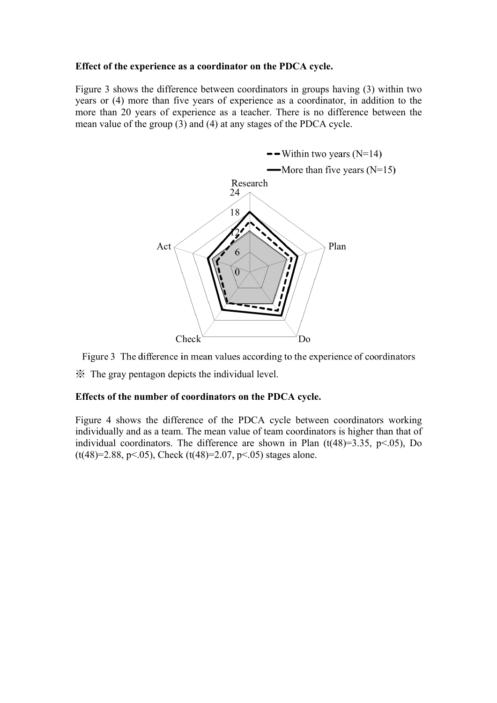### **Effect of the experience as a coordinator on the PDCA cycle.**

Figure 3 shows the difference between coordinators in groups having (3) within two years or (4) more than five years of experience as a coordinator, in addition to the more than 20 years of experience as a teacher. There is no difference between the mean value of the group (3) and (4) at any stages of the PDCA cycle.



Figure 3 The difference in mean values according to the experience of coordinators

※ The gray pentagon depicts the individual level.

# **Effects of the number of coordinators on the PDCA cycle.**

Figure 4 shows the difference of the PDCA cycle between coordinators working individually and as a team. The mean value of team coordinators is higher than that of individual coordinators. The difference are shown in Plan  $(t(48)=3.35, p<.05)$ , Do  $(t(48)=2.88, p<.05)$ , Check  $(t(48)=2.07, p<.05)$  stages alone.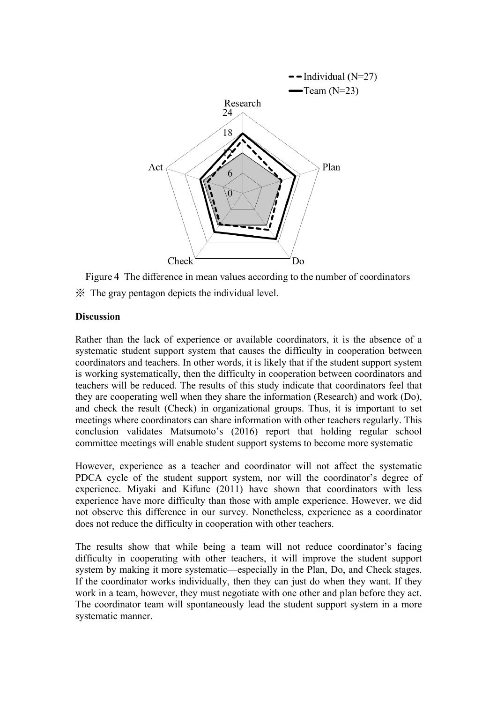

Figure 4 The difference in mean values according to the number of coordinators ※ The gray pentagon depicts the individual level.

### **Discussion**

Rather than the lack of experience or available coordinators, it is the absence of a systematic student support system that causes the difficulty in cooperation between coordinators and teachers. In other words, it is likely that if the student support system is working systematically, then the difficulty in cooperation between coordinators and teachers will be reduced. The results of this study indicate that coordinators feel that they are cooperating well when they share the information (Research) and work (Do), and check the result (Check) in organizational groups. Thus, it is important to set meetings where coordinators can share information with other teachers regularly. This conclusion validates Matsumoto's (2016) report that holding regular school committee meetings will enable student support systems to become more systematic

However, experience as a teacher and coordinator will not affect the systematic PDCA cycle of the student support system, nor will the coordinator's degree of experience. Miyaki and Kifune (2011) have shown that coordinators with less experience have more difficulty than those with ample experience. However, we did not observe this difference in our survey. Nonetheless, experience as a coordinator does not reduce the difficulty in cooperation with other teachers.

The results show that while being a team will not reduce coordinator's facing difficulty in cooperating with other teachers, it will improve the student support system by making it more systematic—especially in the Plan, Do, and Check stages. If the coordinator works individually, then they can just do when they want. If they work in a team, however, they must negotiate with one other and plan before they act. The coordinator team will spontaneously lead the student support system in a more systematic manner.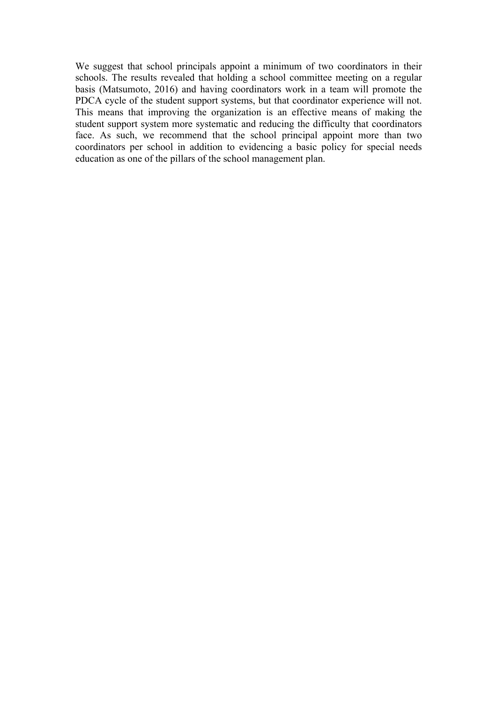We suggest that school principals appoint a minimum of two coordinators in their schools. The results revealed that holding a school committee meeting on a regular basis (Matsumoto, 2016) and having coordinators work in a team will promote the PDCA cycle of the student support systems, but that coordinator experience will not. This means that improving the organization is an effective means of making the student support system more systematic and reducing the difficulty that coordinators face. As such, we recommend that the school principal appoint more than two coordinators per school in addition to evidencing a basic policy for special needs education as one of the pillars of the school management plan.